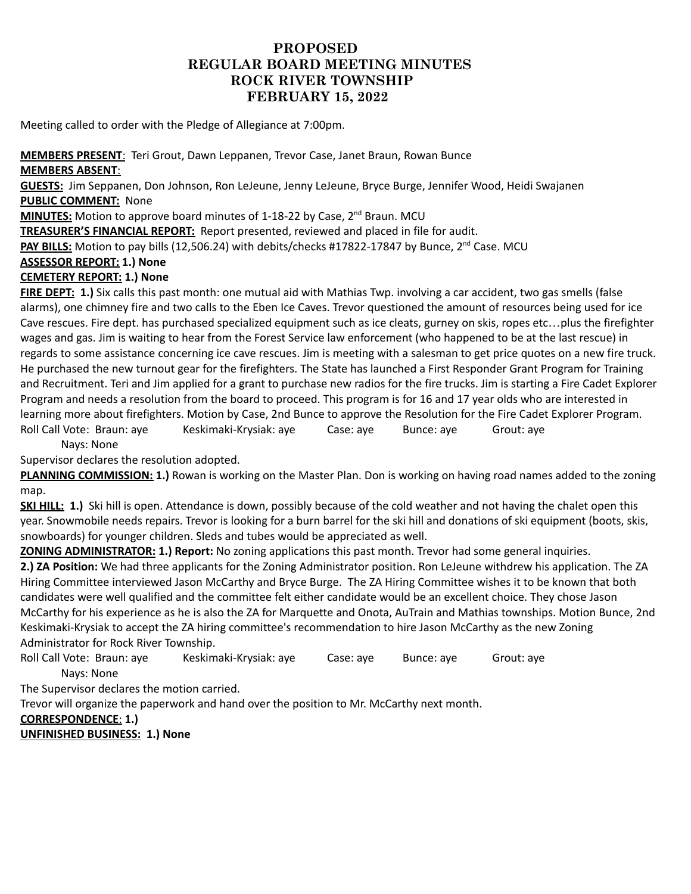# **PROPOSED REGULAR BOARD MEETING MINUTES ROCK RIVER TOWNSHIP FEBRUARY 15, 2022**

Meeting called to order with the Pledge of Allegiance at 7:00pm.

## **MEMBERS PRESENT**: Teri Grout, Dawn Leppanen, Trevor Case, Janet Braun, Rowan Bunce **MEMBERS ABSENT**:

**GUESTS:** Jim Seppanen, Don Johnson, Ron LeJeune, Jenny LeJeune, Bryce Burge, Jennifer Wood, Heidi Swajanen **PUBLIC COMMENT:** None

**MINUTES:** Motion to approve board minutes of 1-18-22 by Case, 2<sup>nd</sup> Braun. MCU

**TREASURER'S FINANCIAL REPORT:** Report presented, reviewed and placed in file for audit.

PAY BILLS: Motion to pay bills (12,506.24) with debits/checks #17822-17847 by Bunce, 2<sup>nd</sup> Case. MCU

#### **ASSESSOR REPORT: 1.) None**

## **CEMETERY REPORT: 1.) None**

**FIRE DEPT: 1.)** Six calls this past month: one mutual aid with Mathias Twp. involving a car accident, two gas smells (false alarms), one chimney fire and two calls to the Eben Ice Caves. Trevor questioned the amount of resources being used for ice Cave rescues. Fire dept. has purchased specialized equipment such as ice cleats, gurney on skis, ropes etc…plus the firefighter wages and gas. Jim is waiting to hear from the Forest Service law enforcement (who happened to be at the last rescue) in regards to some assistance concerning ice cave rescues. Jim is meeting with a salesman to get price quotes on a new fire truck. He purchased the new turnout gear for the firefighters. The State has launched a First Responder Grant Program for Training and Recruitment. Teri and Jim applied for a grant to purchase new radios for the fire trucks. Jim is starting a Fire Cadet Explorer Program and needs a resolution from the board to proceed. This program is for 16 and 17 year olds who are interested in learning more about firefighters. Motion by Case, 2nd Bunce to approve the Resolution for the Fire Cadet Explorer Program. Roll Call Vote: Braun: aye Keskimaki-Krysiak: aye Case: aye Bunce: aye Grout: aye

Nays: None

Supervisor declares the resolution adopted.

**PLANNING COMMISSION: 1.)** Rowan is working on the Master Plan. Don is working on having road names added to the zoning map.

**SKI HILL: 1.)** Ski hill is open. Attendance is down, possibly because of the cold weather and not having the chalet open this year. Snowmobile needs repairs. Trevor is looking for a burn barrel for the ski hill and donations of ski equipment (boots, skis, snowboards) for younger children. Sleds and tubes would be appreciated as well.

**ZONING ADMINISTRATOR: 1.) Report:** No zoning applications this past month. Trevor had some general inquiries.

**2.) ZA Position:** We had three applicants for the Zoning Administrator position. Ron LeJeune withdrew his application. The ZA Hiring Committee interviewed Jason McCarthy and Bryce Burge. The ZA Hiring Committee wishes it to be known that both candidates were well qualified and the committee felt either candidate would be an excellent choice. They chose Jason McCarthy for his experience as he is also the ZA for Marquette and Onota, AuTrain and Mathias townships. Motion Bunce, 2nd Keskimaki-Krysiak to accept the ZA hiring committee's recommendation to hire Jason McCarthy as the new Zoning Administrator for Rock River Township.

Roll Call Vote: Braun: aye Keskimaki-Krysiak: aye Case: aye Bunce: aye Grout: aye Nays: None

The Supervisor declares the motion carried.

Trevor will organize the paperwork and hand over the position to Mr. McCarthy next month.

# **CORRESPONDENCE**: **1.)**

**UNFINISHED BUSINESS: 1.) None**